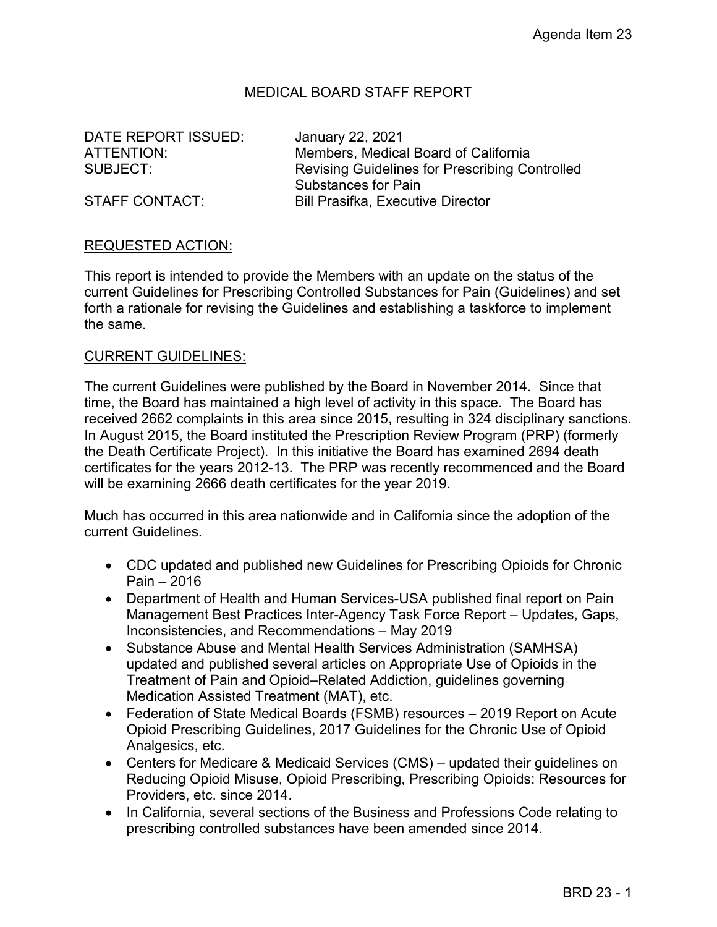## MEDICAL BOARD STAFF REPORT

ATTENTION: SUBJECT: DATE REPORT ISSUED: January 22, 2021

Members, Medical Board of California Revising Guidelines for Prescribing Controlled Substances for Pain STAFF CONTACT: Bill Prasifka, Executive Director

## REQUESTED ACTION:

 current Guidelines for Prescribing Controlled Substances for Pain (Guidelines) and set This report is intended to provide the Members with an update on the status of the forth a rationale for revising the Guidelines and establishing a taskforce to implement the same.

## CURRENT GUIDELINES:

 time, the Board has maintained a high level of activity in this space. The Board has In August 2015, the Board instituted the Prescription Review Program (PRP) (formerly The current Guidelines were published by the Board in November 2014. Since that received 2662 complaints in this area since 2015, resulting in 324 disciplinary sanctions. the Death Certificate Project). In this initiative the Board has examined 2694 death certificates for the years 2012-13. The PRP was recently recommenced and the Board will be examining 2666 death certificates for the year 2019.

 current Guidelines. Much has occurred in this area nationwide and in California since the adoption of the

- CDC updated and published new [Guidelines for Prescribing Opioids for Chronic](https://www.cdc.gov/mmwr/volumes/65/rr/rr6501e1.htm?CDC_AA_refVal=https:%2F%2Fwww.cdc.gov%2Fmmwr%2Fvolumes%2F65%2Frr%2Frr6501e1er.htm)  [Pain – 2016](https://www.cdc.gov/mmwr/volumes/65/rr/rr6501e1.htm?CDC_AA_refVal=https:%2F%2Fwww.cdc.gov%2Fmmwr%2Fvolumes%2F65%2Frr%2Frr6501e1er.htm)
- Department of Health and Human Services-USA published final report on [Pain](https://www.hhs.gov/sites/default/files/pmtf-final-report-2019-05-23.pdf)  [Management Best Practices Inter-Agency Task Force Report – Updates, Gaps,](https://www.hhs.gov/sites/default/files/pmtf-final-report-2019-05-23.pdf)  [Inconsistencies, and Recommendations](https://www.hhs.gov/sites/default/files/pmtf-final-report-2019-05-23.pdf) – May 2019
- Substance Abuse and Mental Health Services Administration (SAMHSA) [updated and published several articles](https://store.samhsa.gov/?v=issues_conditions_and_disorders) on Appropriate Use of Opioids in the Treatment of Pain and Opioid–Related Addiction, guidelines governing Medication Assisted Treatment (MAT), etc.
- Federation of State Medical Boards [\(FSMB\) resources](https://www.fsmb.org/opioids)  2019 Report on Acute Opioid Prescribing Guidelines, 2017 Guidelines for the Chronic Use of Opioid Analgesics, etc.
- [Centers for Medicare & Medicaid Services \(CMS\)](https://www.cms.gov/search/cms?keys=Opioid)  updated their guidelines on Reducing Opioid Misuse, Opioid Prescribing, Prescribing Opioids: Resources for Providers, etc. since 2014.
- In California, several sections of the Business and Professions Code relating to prescribing controlled substances have been amended since 2014.